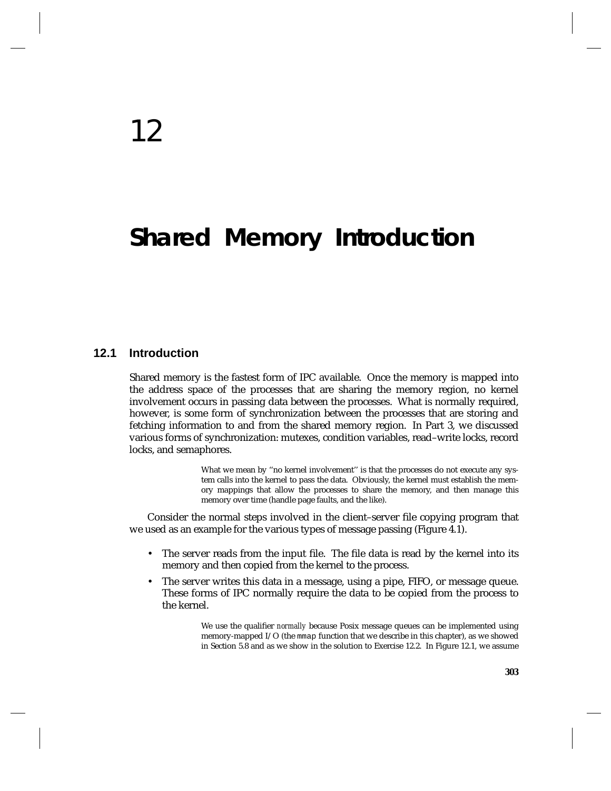# *12*

## *Shared Memory Introduction*

## **12.1 Introduction**

Shared memory is the fastest form of IPC available. Once the memory is mapped into the address space of the processes that are sharing the memory region, no kernel involvement occurs in passing data between the processes. What is normally required, however, is some form of synchronization between the processes that are storing and fetching information to and from the shared memory region. In Part 3, we discussed various forms of synchronization: mutexes, condition variables, read–write locks, record locks, and semaphores.

> What we mean by "no kernel involvement" is that the processes do not execute any system calls into the kernel to pass the data. Obviously, the kernel must establish the memory mappings that allow the processes to share the memory, and then manage this memory over time (handle page faults, and the like).

Consider the normal steps involved in the client–server file copying program that we used as an example for the various types of message passing (Figure 4.1).

- The server reads from the input file. The file data is read by the kernel into its memory and then copied from the kernel to the process.
- The server writes this data in a message, using a pipe, FIFO, or message queue. These forms of IPC normally require the data to be copied from the process to the kernel.

We use the qualifier *normally* because Posix message queues can be implemented using memory-mapped I/O (the mmap function that we describe in this chapter), as we showed in Section 5.8 and as we show in the solution to Exercise 12.2. In Figure 12.1, we assume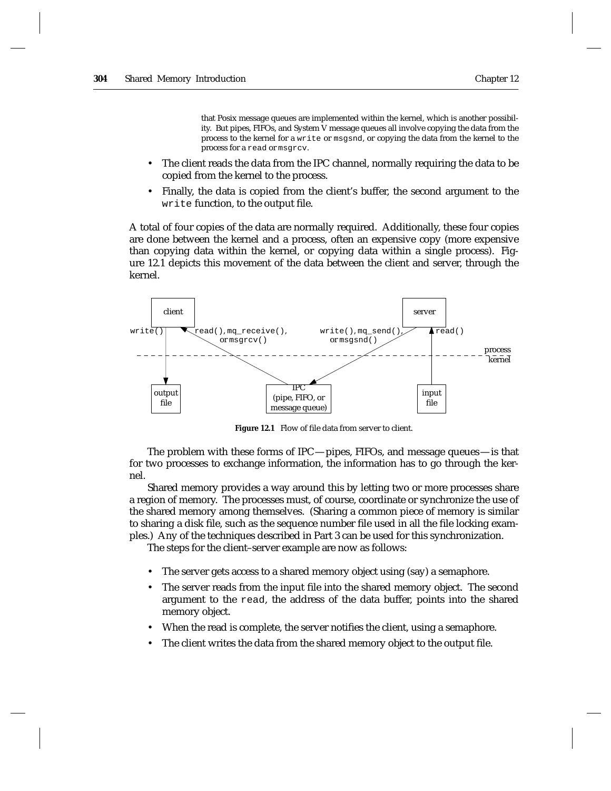that Posix message queues are implemented within the kernel, which is another possibility. But pipes, FIFOs, and System V message queues all involve copying the data from the process to the kernel for a write or msgsnd, or copying the data from the kernel to the process for a read or msgrcv.

- The client reads the data from the IPC channel, normally requiring the data to be copied from the kernel to the process.
- Finally, the data is copied from the client's buffer, the second argument to the write function, to the output file.

A total of four copies of the data are normally required. Additionally, these four copies are done between the kernel and a process, often an expensive copy (more expensive than copying data within the kernel, or copying data within a single process). Figure 12.1 depicts this movement of the data between the client and server, through the kernel.



**Figure 12.1** Flow of file data from server to client.

The problem with these forms of IPC—pipes, FIFOs, and message queues—is that for two processes to exchange information, the information has to go through the kernel.

Shared memory provides a way around this by letting two or more processes share a region of memory. The processes must, of course, coordinate or synchronize the use of the shared memory among themselves. (Sharing a common piece of memory is similar to sharing a disk file, such as the sequence number file used in all the file locking examples.) Any of the techniques described in Part 3 can be used for this synchronization.

The steps for the client–server example are now as follows:

- The server gets access to a shared memory object using (say) a semaphore.
- The server reads from the input file into the shared memory object. The second argument to the read, the address of the data buffer, points into the shared memory object.
- When the read is complete, the server notifies the client, using a semaphore.
- The client writes the data from the shared memory object to the output file.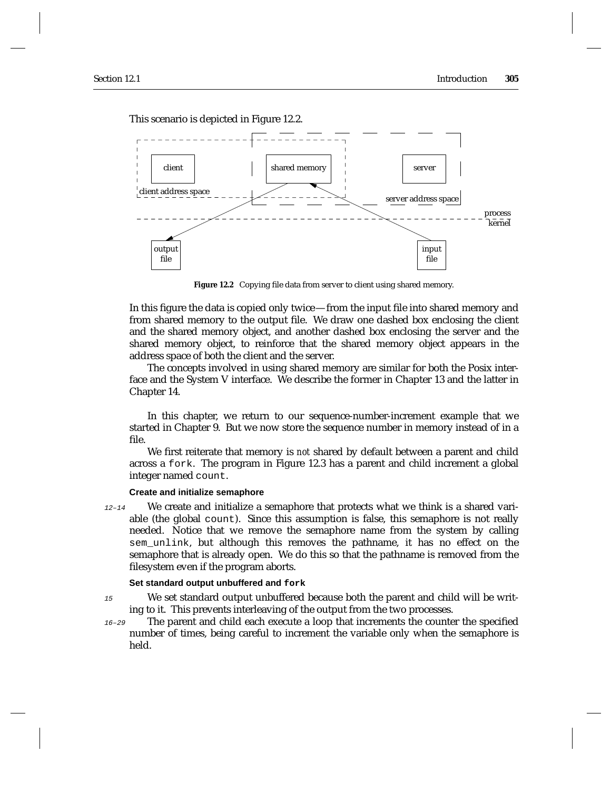

**Figure 12.2** Copying file data from server to client using shared memory.

In this figure the data is copied only twice—from the input file into shared memory and from shared memory to the output file. We draw one dashed box enclosing the client and the shared memory object, and another dashed box enclosing the server and the shared memory object, to reinforce that the shared memory object appears in the address space of both the client and the server.

The concepts involved in using shared memory are similar for both the Posix interface and the System V interface. We describe the former in Chapter 13 and the latter in Chapter 14.

In this chapter, we return to our sequence-number-increment example that we started in Chapter 9. But we now store the sequence number in memory instead of in a file.

We first reiterate that memory is *not* shared by default between a parent and child across a fork. The program in Figure 12.3 has a parent and child increment a global integer named count.

#### **Create and initialize semaphore**

 $12-14$  We create and initialize a semaphore that protects what we think is a shared variable (the global count). Since this assumption is false, this semaphore is not really needed. Notice that we remove the semaphore name from the system by calling sem\_unlink, but although this removes the pathname, it has no effect on the semaphore that is already open. We do this so that the pathname is removed from the filesystem even if the program aborts.

## **Set standard output unbuffered and fork**

- <sup>15</sup> We set standard output unbuffered because both the parent and child will be writing to it. This prevents interleaving of the output from the two processes.
- 16–29 The parent and child each execute a loop that increments the counter the specified number of times, being careful to increment the variable only when the semaphore is held.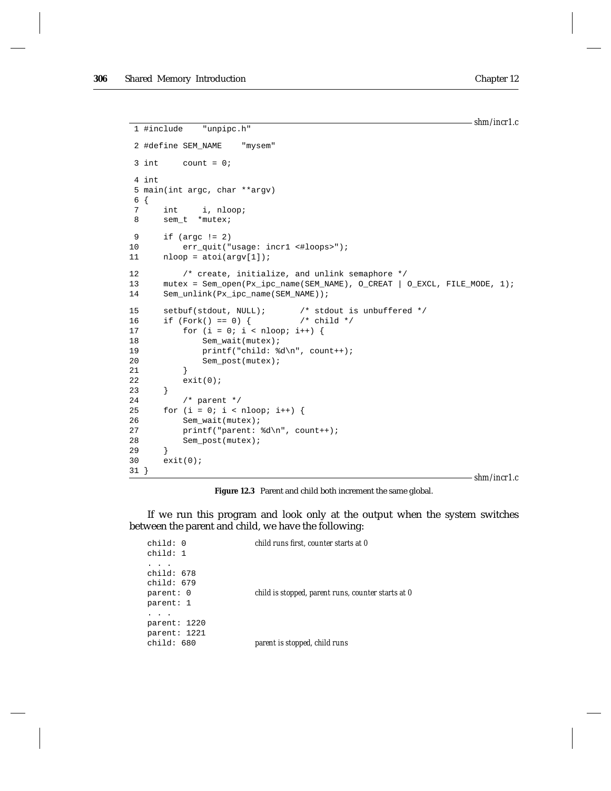```
shm / incr1.c
1 #include "unpipc.h"
2 #define SEM_NAME "mysem"
3 int count = 0;
4 int
5 main(int argc, char **argv)
6 {
7 int i, nloop;
8 sem_t *mutex;
9 if (argc != 2)
10 err_quit("usage: incr1 <#loops>");
11 nloop = atoi(argv[1]);12 /* create, initialize, and unlink semaphore */
13 mutex = Sem_open(Px_ipc_name(SEM_NAME), O_CREAT | O_EXCL, FILE_MODE, 1);
14 Sem_unlink(Px_ipc_name(SEM_NAME));
15 setbuf(stdout, NULL); /* stdout is unbuffered */
16 if (Fork() == 0) \{ /* child */
17 for (i = 0; i < nloop; i++) {
18 Sem_wait(mutex);
19 printf("child: d\n\in", count++);
20 Sem_post(mutex);
21 }
22 exit(0);
23 }
24 /* parent */
25 for (i = 0; i < nloop; i++) {
26 Sem_wait(mutex);
27 printf("parent: d\n\in", count++);
28 Sem_post(mutex);
29 }
30 exit(0);
31 } shm / incr1.c
```
**Figure 12.3** Parent and child both increment the same global.

If we run this program and look only at the output when the system switches between the parent and child, we have the following:

| child:0                                                        | child runs first, counter starts at 0              |
|----------------------------------------------------------------|----------------------------------------------------|
| child:1                                                        |                                                    |
| $\cdots$<br>child: 678<br>child: 679<br>parent: 0<br>parent: 1 | child is stopped, parent runs, counter starts at 0 |
| $\sim$ $\sim$<br>parent: 1220<br>parent: 1221<br>child: 680    | parent is stopped, child runs                      |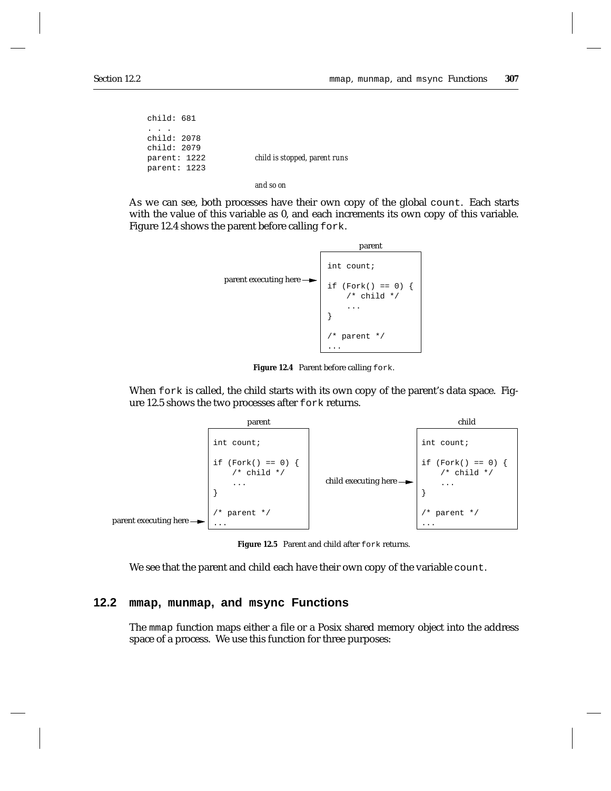child: 681 ... child: 2078 child: 2079 parent: 1222 *child is stopped, parent runs* parent: 1223

*and so on*

As we can see, both processes have their own copy of the global count. Each starts with the value of this variable as 0, and each increments its own copy of this variable. Figure 12.4 shows the parent before calling fork.



Figure 12.4 Parent before calling fork.

When fork is called, the child starts with its own copy of the parent's data space. Figure 12.5 shows the two processes after fork returns.



Figure 12.5 Parent and child after fork returns.

We see that the parent and child each have their own copy of the variable count.

## **12.2 mmap, munmap, and msync Functions**

The mmap function maps either a file or a Posix shared memory object into the address space of a process. We use this function for three purposes: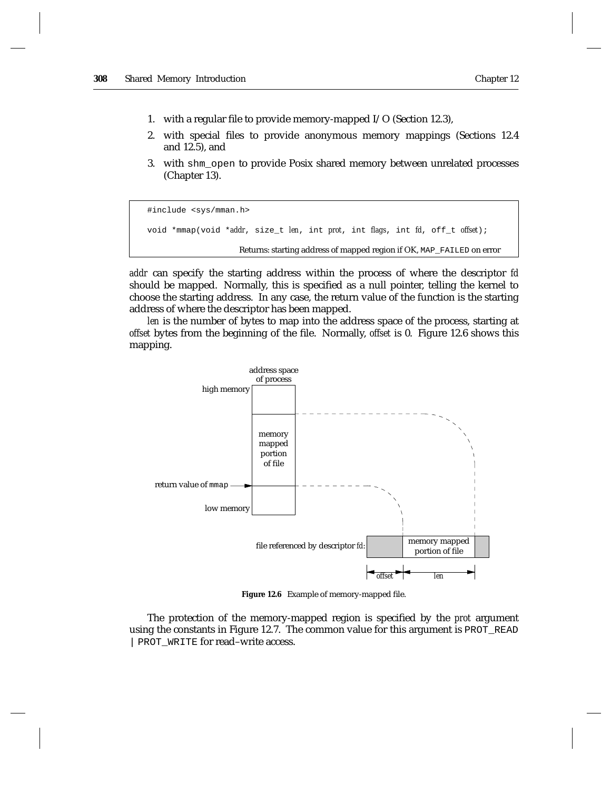- 1. with a regular file to provide memory-mapped I/O (Section 12.3),
- 2. with special files to provide anonymous memory mappings (Sections 12.4 and 12.5), and
- 3. with shm\_open to provide Posix shared memory between unrelated processes (Chapter 13).

```
#include <sys/mman.h>
void *mmap(void *addr, size_t len, int prot, int flags, int fd, off_t offset);
                      Returns: starting address of mapped region if OK, MAP_FAILED on error
```
*addr* can specify the starting address within the process of where the descriptor *fd* should be mapped. Normally, this is specified as a null pointer, telling the kernel to choose the starting address. In any case, the return value of the function is the starting address of where the descriptor has been mapped.

*len* is the number of bytes to map into the address space of the process, starting at *offset* bytes from the beginning of the file. Normally, *offset* is 0. Figure 12.6 shows this mapping.



**Figure 12.6** Example of memory-mapped file.

The protection of the memory-mapped region is specified by the *prot* argument using the constants in Figure 12.7. The common value for this argument is PROT\_READ | PROT\_WRITE for read–write access.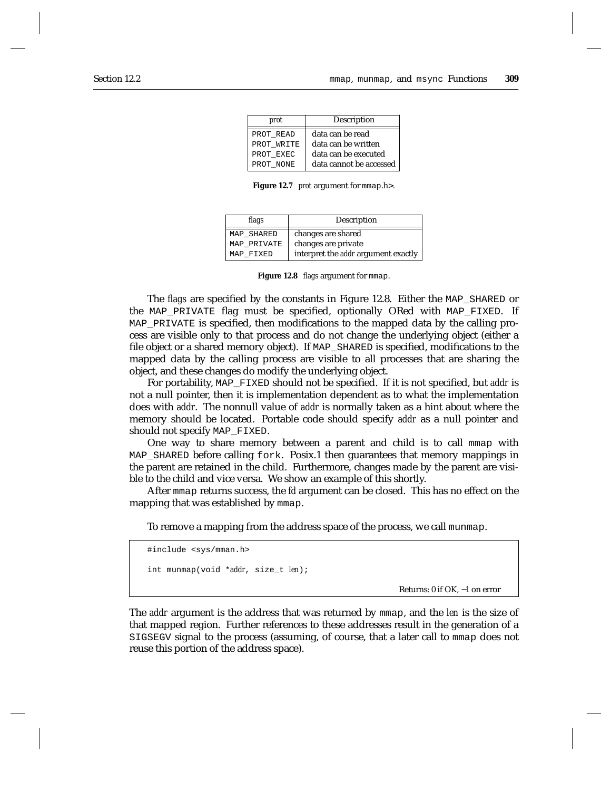| prot       | Description             |
|------------|-------------------------|
| PROT READ  | data can be read        |
| PROT WRITE | data can be written     |
| PROT EXEC  | data can be executed    |
| PROT NONE  | data cannot be accessed |

**Figure 12.7** *prot* argument for mmap.h>.

| flags       | Description                                |
|-------------|--------------------------------------------|
| MAP SHARED  | changes are shared                         |
| MAP PRIVATE | changes are private                        |
| MAP FIXED   | interpret the <i>addr</i> argument exactly |

**Figure 12.8** *flags* argument for mmap.

The *flags* are specified by the constants in Figure 12.8. Either the MAP\_SHARED or the MAP\_PRIVATE flag must be specified, optionally ORed with MAP\_FIXED. If MAP\_PRIVATE is specified, then modifications to the mapped data by the calling process are visible only to that process and do not change the underlying object (either a file object or a shared memory object). If MAP\_SHARED is specified, modifications to the mapped data by the calling process are visible to all processes that are sharing the object, and these changes do modify the underlying object.

For portability, MAP\_FIXED should not be specified. If it is not specified, but *addr* is not a null pointer, then it is implementation dependent as to what the implementation does with *addr*. The nonnull value of *addr* is normally taken as a hint about where the memory should be located. Portable code should specify *addr* as a null pointer and should not specify MAP\_FIXED.

One way to share memory between a parent and child is to call mmap with MAP\_SHARED before calling fork. Posix.1 then guarantees that memory mappings in the parent are retained in the child. Furthermore, changes made by the parent are visible to the child and vice versa. We show an example of this shortly.

After mmap returns success, the *fd* argument can be closed. This has no effect on the mapping that was established by mmap.

To remove a mapping from the address space of the process, we call munmap.

```
#include <sys/mman.h>
int munmap(void *addr, size_t len);
```
Returns: 0 if OK, −1 on error

The *addr* argument is the address that was returned by mmap, and the *len* is the size of that mapped region. Further references to these addresses result in the generation of a SIGSEGV signal to the process (assuming, of course, that a later call to mmap does not reuse this portion of the address space).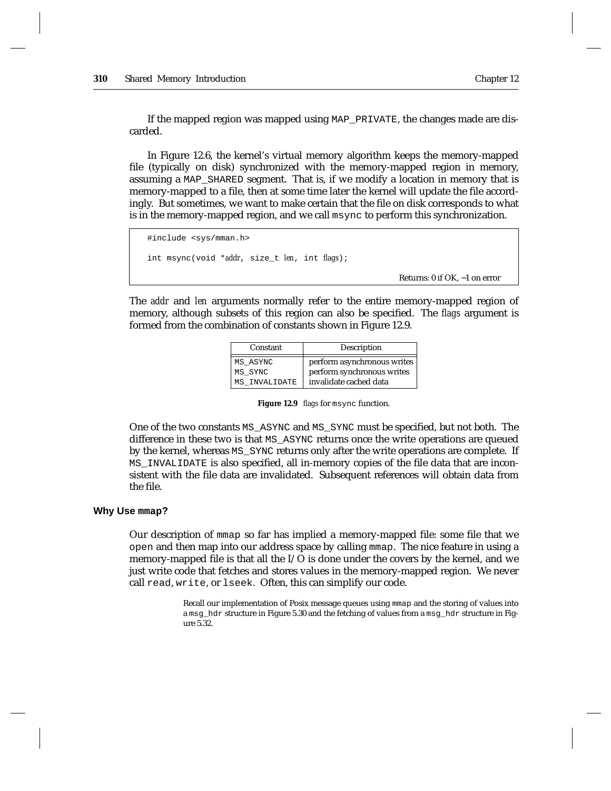If the mapped region was mapped using MAP\_PRIVATE, the changes made are discarded.

In Figure 12.6, the kernel's virtual memory algorithm keeps the memory-mapped file (typically on disk) synchronized with the memory-mapped region in memory, assuming a MAP\_SHARED segment. That is, if we modify a location in memory that is memory-mapped to a file, then at some time later the kernel will update the file accordingly. But sometimes, we want to make certain that the file on disk corresponds to what is in the memory-mapped region, and we call msync to perform this synchronization.

```
#include <sys/mman.h>
int msync(void *addr, size_t len, int flags);
```
Returns: 0 if OK, −1 on error

The *addr* and *len* arguments normally refer to the entire memory-mapped region of memory, although subsets of this region can also be specified. The *flags* argument is formed from the combination of constants shown in Figure 12.9.

| Constant      | Description                 |
|---------------|-----------------------------|
| MS ASYNC      | perform asynchronous writes |
| MS_SYNC       | perform synchronous writes  |
| MS INVALIDATE | invalidate cached data      |

**Figure 12.9** *flags* for msync function.

One of the two constants MS\_ASYNC and MS\_SYNC must be specified, but not both. The difference in these two is that MS\_ASYNC returns once the write operations are queued by the kernel, whereas  $MS\_SYNC$  returns only after the write operations are complete. If MS\_INVALIDATE is also specified, all in-memory copies of the file data that are inconsistent with the file data are invalidated. Subsequent references will obtain data from the file.

## **Why Use mmap?**

Our description of mmap so far has implied a memory-mapped file: some file that we open and then map into our address space by calling mmap. The nice feature in using a memory-mapped file is that all the I/O is done under the covers by the kernel, and we just write code that fetches and stores values in the memory-mapped region. We never call read, write, or lseek. Often, this can simplify our code.

> Recall our implementation of Posix message queues using mmap and the storing of values into a msg\_hdr structure in Figure 5.30 and the fetching of values from a msg\_hdr structure in Figure 5.32.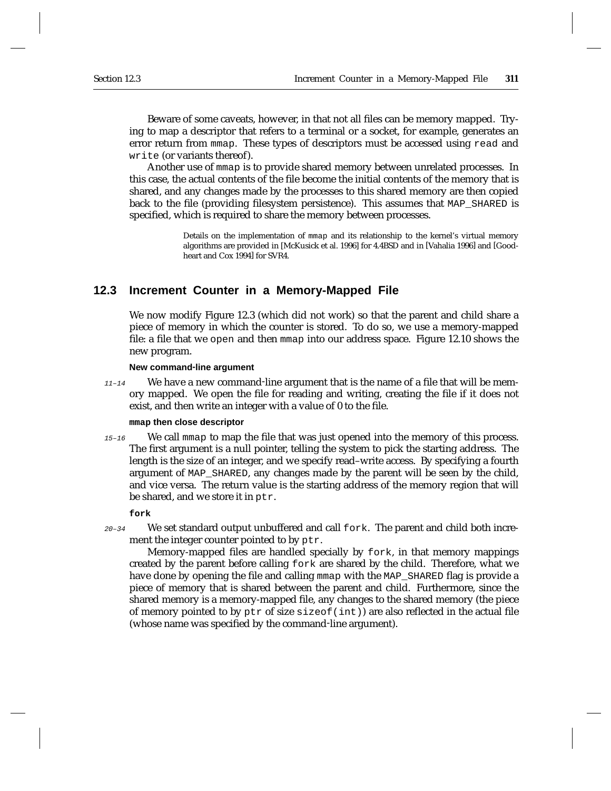Beware of some caveats, however, in that not all files can be memory mapped. Trying to map a descriptor that refers to a terminal or a socket, for example, generates an error return from mmap. These types of descriptors must be accessed using read and  $write (or variants thereof).$ 

Another use of mmap is to provide shared memory between unrelated processes. In this case, the actual contents of the file become the initial contents of the memory that is shared, and any changes made by the processes to this shared memory are then copied back to the file (providing filesystem persistence). This assumes that MAP\_SHARED is specified, which is required to share the memory between processes.

> Details on the implementation of mmap and its relationship to the kernel's virtual memory algorithms are provided in [McKusick et al. 1996] for 4.4BSD and in [Vahalia 1996] and [Goodheart and Cox 1994] for SVR4.

## **12.3 Increment Counter in a Memory-Mapped File**

We now modify Figure 12.3 (which did not work) so that the parent and child share a piece of memory in which the counter is stored. To do so, we use a memory-mapped file: a file that we open and then mmap into our address space. Figure 12.10 shows the new program.

#### **New command-line argument**

 $11-14$  We have a new command-line argument that is the name of a file that will be memory mapped. We open the file for reading and writing, creating the file if it does not exist, and then write an integer with a value of 0 to the file.

## **mmap then close descriptor**

 $15-16$  We call mmap to map the file that was just opened into the memory of this process. The first argument is a null pointer, telling the system to pick the starting address. The length is the size of an integer, and we specify read–write access. By specifying a fourth argument of MAP\_SHARED, any changes made by the parent will be seen by the child, and vice versa. The return value is the starting address of the memory region that will be shared, and we store it in ptr.

## **fork**

 $20-34$  We set standard output unbuffered and call  $f \circ r$ k. The parent and child both increment the integer counter pointed to by ptr.

Memory-mapped files are handled specially by fork, in that memory mappings created by the parent before calling fork are shared by the child. Therefore, what we have done by opening the file and calling mmap with the MAP\_SHARED flag is provide a piece of memory that is shared between the parent and child. Furthermore, since the shared memory is a memory-mapped file, any changes to the shared memory (the piece of memory pointed to by  $ptr$  of size  $size$   $(int)$  are also reflected in the actual file (whose name was specified by the command-line argument).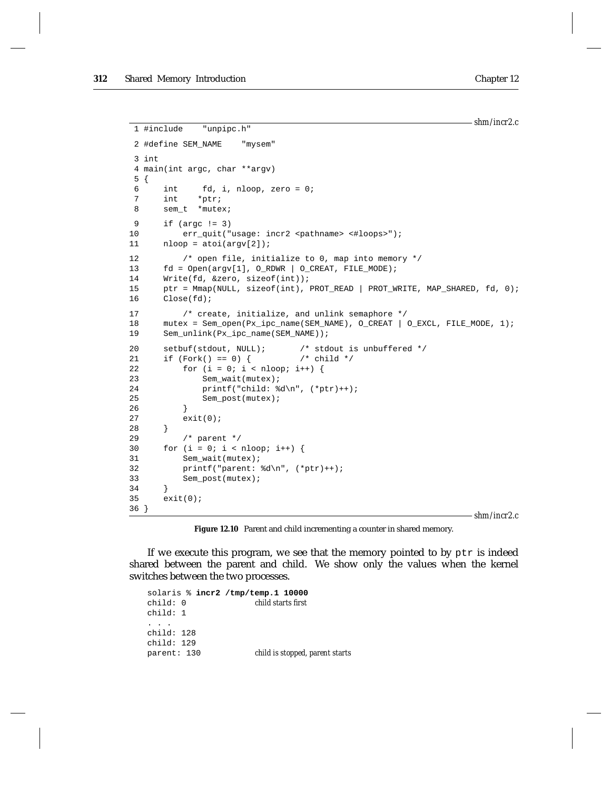```
shm / incr2.c
1 #include "unpipc.h"
2 #define SEM_NAME "mysem"
3 int
4 main(int argc, char **argv)
5 {
6 int fd, i, nloop, zero = 0;
7 int *ptr;
8 sem t *mutex;
9 if (argc != 3)
10 err_quit("usage: incr2 <pathname> <#loops>");
11 nloop = atoi(argv[2]);
12 /* open file, initialize to 0, map into memory */
13 fd = Open(argv[1], O_RDWR | O_CREAT, FILE_MODE);
14 Write(fd, &zero, sizeof(int));
15 ptr = Mmap(NULL, sizeof(int), PROT_READ | PROT_WRITE, MAP_SHARED, fd, 0);
16 Close(fd);
17 /* create, initialize, and unlink semaphore */
18 mutex = Sem_open(Px_ipc_name(SEM_NAME), O_CREAT | O_EXCL, FILE_MODE, 1);
19 Sem_unlink(Px_ipc_name(SEM_NAME));
20 setbuf(stdout, NULL); /* stdout is unbuffered */
21 if (Fork() == 0) \{ /* child */
22 for (i = 0; i < nloop; i++) {
23 Sem_wait(mutex);
24 printf("child: d\n\pi, (*ptr)+);
25 Sem_post(mutex);
26 }
27 exit(0);
28 }
29 /* parent */
30 for (i = 0; i < nloop; i++) {
31 Sem_wait(mutex);
32 printf("parent: %d\n", (*ptr)++);
33 Sem_post(mutex);
34 }
35 exit(0);
36 } shm / incr2.c
```
**Figure 12.10** Parent and child incrementing a counter in shared memory.

If we execute this program, we see that the memory pointed to by  $ptr$  is indeed shared between the parent and child. We show only the values when the kernel switches between the two processes.

solaris % **incr2 /tmp/temp.1 10000** child: 0 *child starts first* child: 1 ... child: 128 child: 129 parent: 130 *child is stopped, parent starts*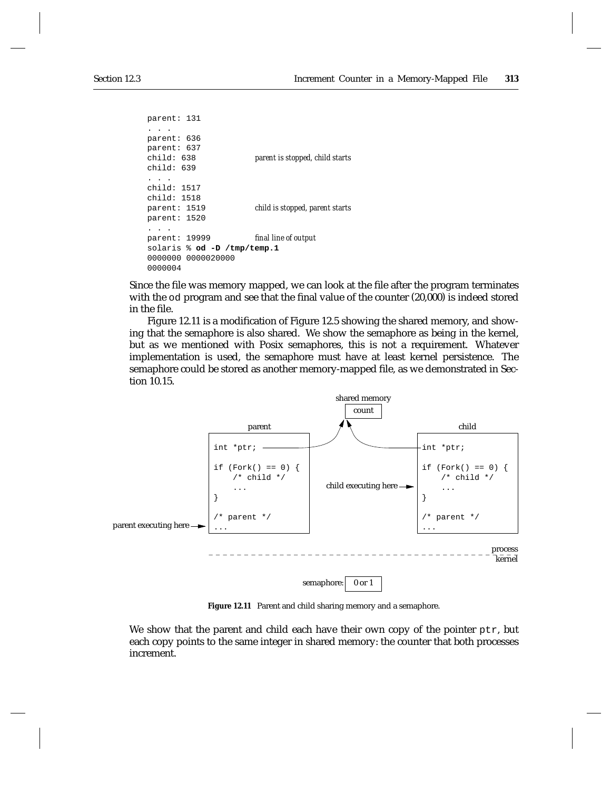```
parent: 131
...
parent: 636
parent: 637
child: 638 parent is stopped, child starts
child: 639
...
child: 1517
child: 1518
parent: 1519 child is stopped, parent starts
parent: 1520
...
parent: 19999 final line of output
solaris % od -D /tmp/temp.1
0000000 0000020000
0000004
```
Since the file was memory mapped, we can look at the file after the program terminates with the  $\circ$ d program and see that the final value of the counter (20,000) is indeed stored in the file.

Figure 12.11 is a modification of Figure 12.5 showing the shared memory, and showing that the semaphore is also shared. We show the semaphore as being in the kernel, but as we mentioned with Posix semaphores, this is not a requirement. Whatever implementation is used, the semaphore must have at least kernel persistence. The semaphore could be stored as another memory-mapped file, as we demonstrated in Section 10.15.



**Figure 12.11** Parent and child sharing memory and a semaphore.

We show that the parent and child each have their own copy of the pointer  $ptr$ , but each copy points to the same integer in shared memory: the counter that both processes increment.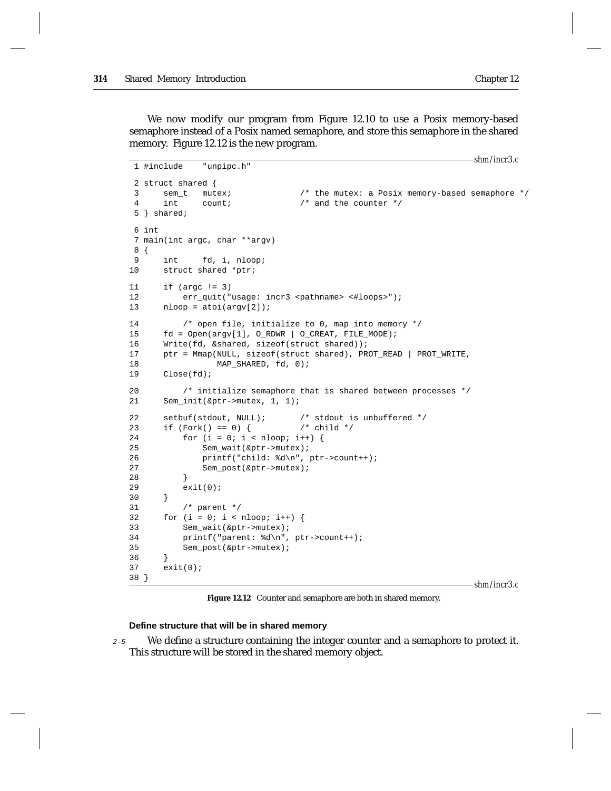We now modify our program from Figure 12.10 to use a Posix memory-based semaphore instead of a Posix named semaphore, and store this semaphore in the shared memory. Figure 12.12 is the new program.

```
shm / incr3.c
1 #include "unpipc.h"
2 struct shared {
3 sem t mutex; /* the mutex: a Posix memory-based semaphore */
4 int count; \frac{1}{4} /* and the counter */
5 } shared;
6 int
7 main(int argc, char **argv)
8 {
9 int fd, i, nloop;
10 struct shared *ptr;
11 if (argc != 3)
12 err_quit("usage: incr3 <pathname> <#loops>");
13 nloop = atoi(argv[2]);
14 /* open file, initialize to 0, map into memory */
15 fd = Open(argv[1], O_RDWR | O_CREAT, FILE_MODE);
16 Write(fd, &shared, sizeof(struct shared));
17 ptr = Mmap(NULL, sizeof(struct shared), PROT_READ | PROT_WRITE,
18 MAP_SHARED, fd, 0);
19 Close(fd);
20 /* initialize semaphore that is shared between processes */
21 Sem_init(&ptr->mutex, 1, 1);
22 setbuf(stdout, NULL); /* stdout is unbuffered */
23 if (Fork() == 0) { /* child */
24 for (i = 0; i < nloop; i++) {
25 Sem_wait(&ptr->mutex);
26 printf("child: %d\n", ptr->count++);
27 Sem_post(&ptr->mutex);
28 }
29 exit(0);
30 }
31 /* parent */
32 for (i = 0; i < nloop; i++) {
33 Sem_wait(&ptr->mutex);
34 printf("parent: %d\n", ptr->count++);
35 Sem_post(&ptr->mutex);
36 }
37 exit(0);
38 } shm / incr3.c
```
**Figure 12.12** Counter and semaphore are both in shared memory.

#### **Define structure that will be in shared memory**

 $2-5$  We define a structure containing the integer counter and a semaphore to protect it. This structure will be stored in the shared memory object.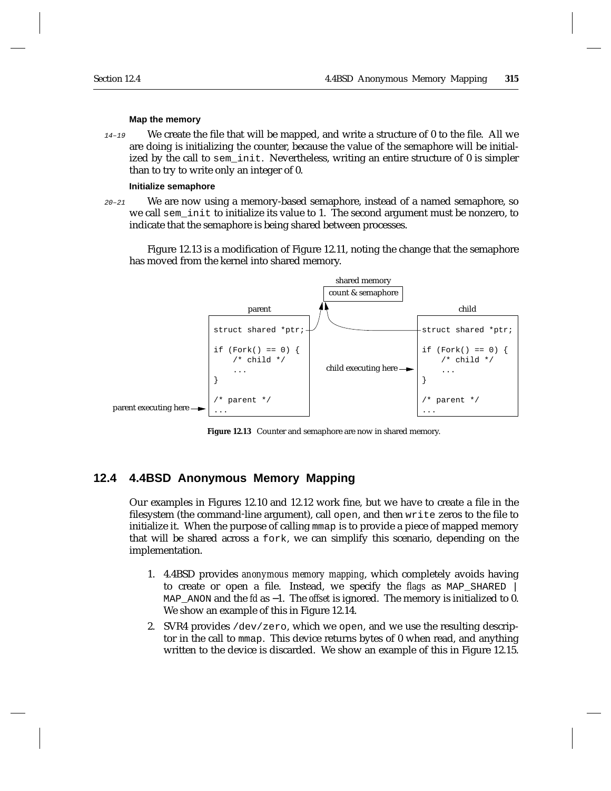## **Map the memory**

 $14-19$  We create the file that will be mapped, and write a structure of 0 to the file. All we are doing is initializing the counter, because the value of the semaphore will be initialized by the call to sem\_init. Nevertheless, writing an entire structure of 0 is simpler than to try to write only an integer of 0.

## **Initialize semaphore**

20–21 We are now using a memory-based semaphore, instead of a named semaphore, so we call sem\_init to initialize its value to 1. The second argument must be nonzero, to indicate that the semaphore is being shared between processes.

Figure 12.13 is a modification of Figure 12.11, noting the change that the semaphore has moved from the kernel into shared memory.



**Figure 12.13** Counter and semaphore are now in shared memory.

## **12.4 4.4BSD Anonymous Memory Mapping**

Our examples in Figures 12.10 and 12.12 work fine, but we have to create a file in the filesystem (the command-line argument), call open, and then write zeros to the file to initialize it. When the purpose of calling mmap is to provide a piece of mapped memory that will be shared across a fork, we can simplify this scenario, depending on the implementation.

- 1. 4.4BSD provides *anonymous memory mapping*, which completely avoids having to create or open a file. Instead, we specify the *flags* as MAP\_SHARED | MAP\_ANON and the *fd* as −1. The *offset* is ignored. The memory is initialized to 0. We show an example of this in Figure 12.14.
- 2. SVR4 provides /dev/zero, which we open, and we use the resulting descriptor in the call to mmap. This device returns bytes of 0 when read, and anything written to the device is discarded. We show an example of this in Figure 12.15.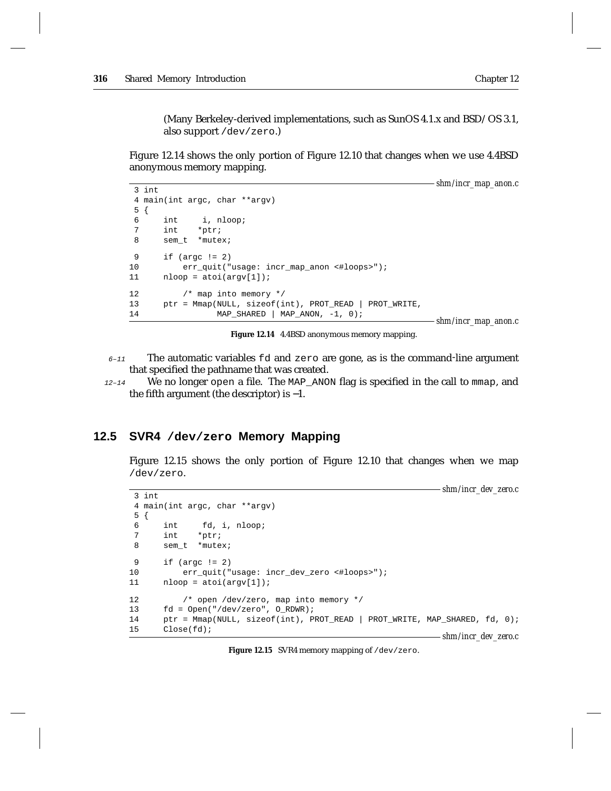(Many Berkeley-derived implementations, such as SunOS 4.1.x and BSD/OS 3.1, also support /dev/zero.)

Figure 12.14 shows the only portion of Figure 12.10 that changes when we use 4.4BSD anonymous memory mapping.

```
shm / incr_map_anon.c 3 int
4 main(int argc, char **argv)
5 {
6 int i, nloop;
7 int *ptr;
8 sem_t *mutex;
9 if (argc != 2)
10 err_quit("usage: incr_map_anon <#loops>");
11 nloop = atoi(arqu[1]);12 /* map into memory */
13 ptr = Mmap(NULL, sizeof(int), PROT_READ | PROT_WRITE,
14 MAP_SHARED | MAP_ANON, -1, 0); shm / incr_map_anon.c
```
**Figure 12.14** 4.4BSD anonymous memory mapping.

 $6-11$  The automatic variables fd and zero are gone, as is the command-line argument that specified the pathname that was created.

 $12-14$  We no longer open a file. The MAP\_ANON flag is specified in the call to mmap, and the fifth argument (the descriptor) is −1.

## **12.5 SVR4** /dev/zero Memory Mapping

Figure 12.15 shows the only portion of Figure 12.10 that changes when we map /dev/zero.

*shm / incr\_dev\_zero.c* 3 int

```
4 main(int argc, char **argv)
5 {
6 int fd, i, nloop;
7 int *ptr;
8 sem_t *mutex;
9 if (argc != 2)
10 err_quit("usage: incr_dev_zero <#loops>");
11 nloop = atoi(argv[1]);12 /* open /dev/zero, map into memory */
13 fd = Open("/dev/zero", 0 RDW);14 ptr = Mmap(NULL, sizeof(int), PROT_READ | PROT_WRITE, MAP_SHARED, fd, 0);
15 Close(fd); shm / incr_dev_zero.c
```
Figure 12.15 SVR4 memory mapping of /dev/zero.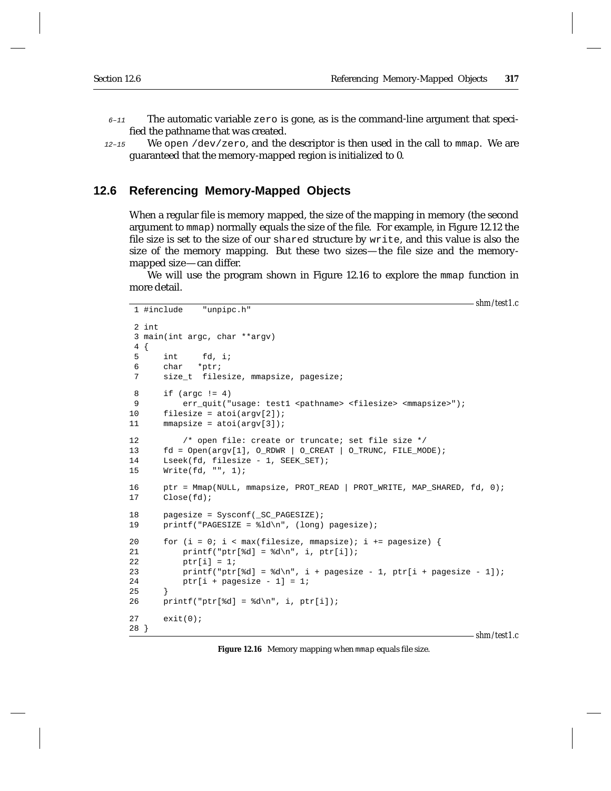- $6-11$  The automatic variable zero is gone, as is the command-line argument that specified the pathname that was created.
- $12-15$  We open /dev/zero, and the descriptor is then used in the call to mmap. We are guaranteed that the memory-mapped region is initialized to 0.

## **12.6 Referencing Memory-Mapped Objects**

When a regular file is memory mapped, the size of the mapping in memory (the second argument to mmap) normally equals the size of the file. For example, in Figure 12.12 the file size is set to the size of our shared structure by write, and this value is also the size of the memory mapping. But these two sizes—the file size and the memorymapped size—can differ.

We will use the program shown in Figure 12.16 to explore the mmap function in more detail.

```
shm / test1.c
1 #include "unpipc.h"
 2 int
 3 main(int argc, char **argv)
 4 {
 5 int fd, i;
 6 char *ptr;
 7 size_t filesize, mmapsize, pagesize;
8 if (argc != 4)
9 err_quit("usage: test1 <pathname> <filesize> <mmapsize>");
10 filesize = atoi(argv[2]);
11 mmapsize = atoi(argv[3]);
12 /* open file: create or truncate; set file size */
13 fd = Open(argv[1], O_RDWR | O_CREAT | O_TRUNC, FILE_MODE);
14 Lseek(fd, filesize - 1, SEEK_SET);
15 Write(fd, "", 1);
16 ptr = Mmap(NULL, mmapsize, PROT_READ | PROT_WRITE, MAP_SHARED, fd, 0);
17 Close(fd);
18 pagesize = Sysconf(_SC_PAGESIZE);
19 printf("PAGESIZE = %ld\n", (long) pagesize);
20 for (i = 0; i < max(filesize, maxsize); i += pagesize) {
21 printf("ptr[%d] = %d\n", i, ptr[i]);
22 ptr[i] = 1;
23 printf("ptr[%d] = %d\n", i + pagesize - 1, ptr[i + pagesize - 1]);
24 ptr[i + pagesize - 1] = 1;25 }
26 printf("ptr[%d] = %d\n", i, ptr[i]);
27 exit(0);
28 } shm / test1.c
```
**Figure 12.16** Memory mapping when mmap equals file size.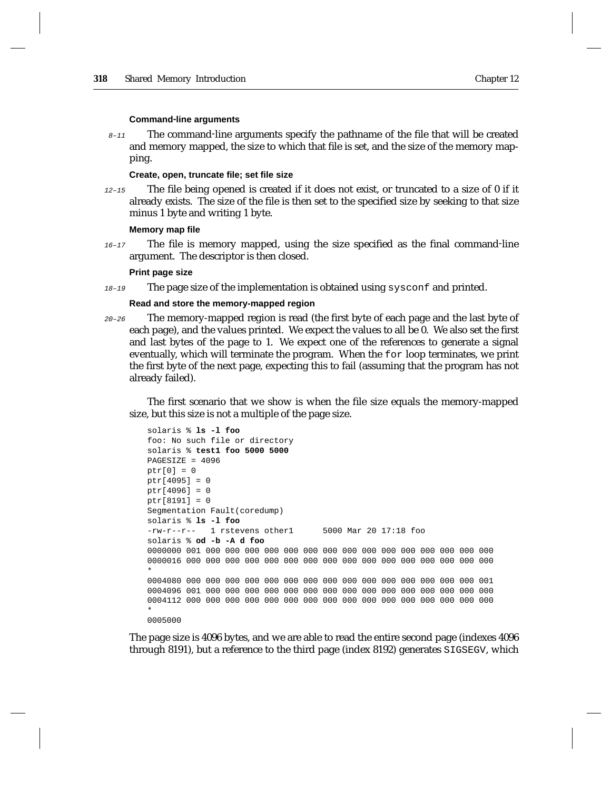#### **Command-line arguments**

 $8-11$  The command-line arguments specify the pathname of the file that will be created and memory mapped, the size to which that file is set, and the size of the memory mapping.

## **Create , open, truncate file; set file size**

 $12-15$  The file being opened is created if it does not exist, or truncated to a size of 0 if it already exists. The size of the file is then set to the specified size by seeking to that size minus 1 byte and writing 1 byte.

#### **Memory map file**

16–17 The file is memory mapped, using the size specified as the final command-line argument. The descriptor is then closed.

#### **Print page size**

 $18-19$  The page size of the implementation is obtained using sysconf and printed.

## **Read and store the memory-mapped region**

 $20-26$  The memory-mapped region is read (the first byte of each page and the last byte of each page), and the values printed. We expect the values to all be 0. We also set the first and last bytes of the page to 1. We expect one of the references to generate a signal eventually, which will terminate the program. When the for loop terminates, we print the first byte of the next page, expecting this to fail (assuming that the program has not already failed).

The first scenario that we show is when the file size equals the memory-mapped size, but this size is not a multiple of the page size.

```
solaris % ls -l foo
foo: No such file or directory
solaris % test1 foo 5000 5000
PAGESIZE = 4096
ptr[0] = 0
ptr[4095] = 0ptr[4096] = 0
ptr[8191] = 0
Segmentation Fault(coredump)
solaris % ls -l foo
-rw-r--r-- 1 rstevens other1 5000 Mar 20 17:18 foo
solaris % od -b -A d foo
0000000 001 000 000 000 000 000 000 000 000 000 000 000 000 000 000 000
0000016 000 000 000 000 000 000 000 000 000 000 000 000 000 000 000 000
*
0004080 000 000 000 000 000 000 000 000 000 000 000 000 000 000 000 001
0004096 001 000 000 000 000 000 000 000 000 000 000 000 000 000 000 000
0004112 000 000 000 000 000 000 000 000 000 000 000 000 000 000 000 000
*
0005000
```
The page size is 4096 bytes, and we are able to read the entire second page (indexes 4096 through 8191), but a reference to the third page (index 8192) generates SIGSEGV, which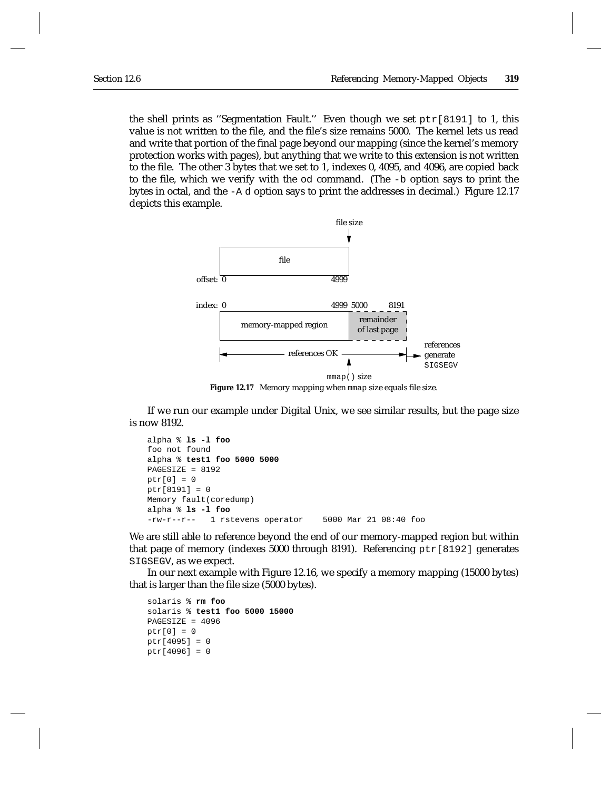the shell prints as "Segmentation Fault." Even though we set  $ptr[8191]$  to 1, this value is not written to the file, and the file's size remains 5000. The kernel lets us read and write that portion of the final page beyond our mapping (since the kernel's memory protection works with pages), but anything that we write to this extension is not written to the file. The other 3 bytes that we set to 1, indexes 0, 4095, and 4096, are copied back to the file, which we verify with the od command. (The -b option says to print the bytes in octal, and the -A d option says to print the addresses in decimal.) Figure 12.17 depicts this example.



**Figure 12.17** Memory mapping when mmap size equals file size.

If we run our example under Digital Unix, we see similar results, but the page size is now 8192.

```
alpha % ls -l foo
foo not found
alpha % test1 foo 5000 5000
PAGESIZE = 8192
ptr[0] = 0ptr[8191] = 0
Memory fault(coredump)
alpha % ls -l foo
-rw-r--r-- 1 rstevens operator 5000 Mar 21 08:40 foo
```
We are still able to reference beyond the end of our memory-mapped region but within that page of memory (indexes 5000 through 8191). Referencing ptr[8192] generates SIGSEGV, as we expect.

In our next example with Figure 12.16, we specify a memory mapping (15000 bytes) that is larger than the file size (5000 bytes).

```
solaris % rm foo
solaris % test1 foo 5000 15000
PAGESIZE = 4096
ptr[0] = 0
ptr[4095] = 0
ptr[4096] = 0
```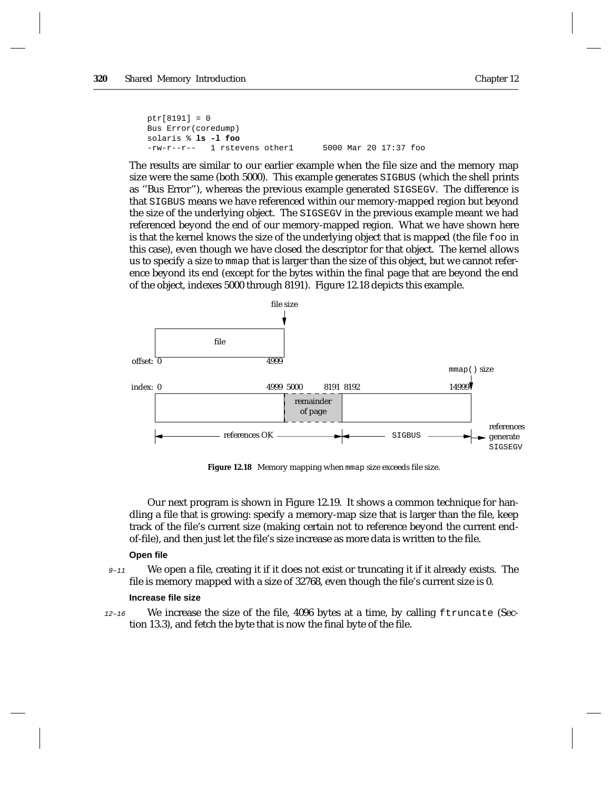```
ptr[8191] = 0
Bus Error(coredump)
solaris % ls -l foo
-rw-r--r-- 1 rstevens other1 5000 Mar 20 17:37 foo
```
The results are similar to our earlier example when the file size and the memory map size were the same (both 5000). This example generates SIGBUS (which the shell prints as ''Bus Error ''), whereas the previous example generated SIGSEGV. The difference is that SIGBUS means we have referenced within our memory-mapped region but beyond the size of the underlying object. The SIGSEGV in the previous example meant we had referenced beyond the end of our memory-mapped region. What we have shown here is that the kernel knows the size of the underlying object that is mapped (the file  $f \circ \circ$  in this case), even though we have closed the descriptor for that object. The kernel allows us to specify a size to mmap that is larger than the size of this object, but we cannot reference beyond its end (except for the bytes within the final page that are beyond the end of the object, indexes 5000 through 8191). Figure 12.18 depicts this example.



**Figure 12.18** Memory mapping when mmap size exceeds file size.

Our next program is shown in Figure 12.19. It shows a common technique for handling a file that is growing: specify a memory-map size that is larger than the file, keep track of the file's current size (making certain not to reference beyond the current endof-file), and then just let the file's size increase as more data is written to the file.

## **Open file**

 $9-11$  We open a file, creating it if it does not exist or truncating it if it already exists. The file is memory mapped with a size of 32768, even though the file's current size is 0.

#### **Increase file size**

 $12-16$  We increase the size of the file, 4096 bytes at a time, by calling ftruncate (Section 13.3), and fetch the byte that is now the final byte of the file.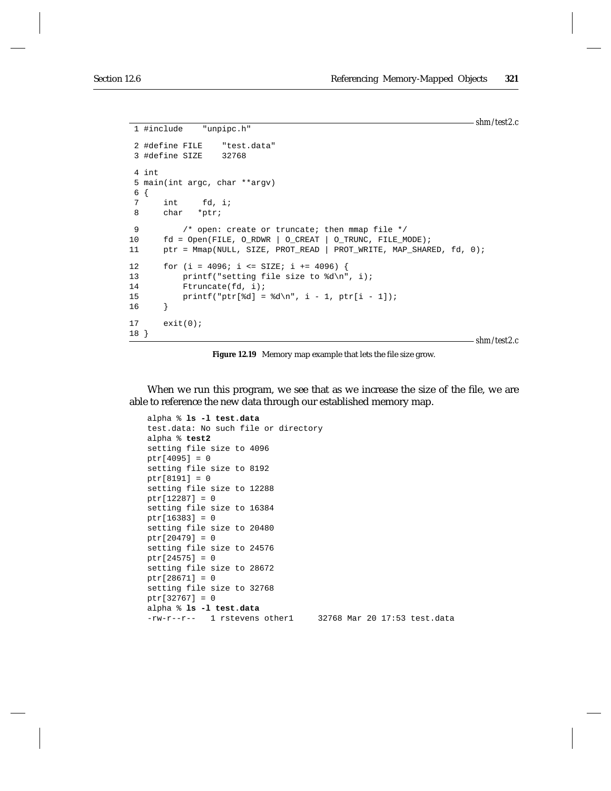```
shm / test2.c
1 #include "unpipc.h"
2 #define FILE "test.data"
3 #define SIZE 32768
4 int
5 main(int argc, char **argv)
6 {
7 int fd, i;
8 char *ptr;
9 /* open: create or truncate; then mmap file */
10 fd = Open(FILE, O_RDWR | O_CREAT | O_TRUNC, FILE_MODE);
11 ptr = Mmap(NULL, SIZE, PROT_READ | PROT_WRITE, MAP_SHARED, fd, 0);
12 for (i = 4096; i <= SIZE; i += 4096) {
13 printf("setting file size to d\pi, i);
14 Ftruncate(fd, i);
15 \text{print}("ptr[\text{ad}] = \text{ad}\n", i - 1,ptr[i - 1]);16 }
17 exit(0);
18 } shm / test2.c
```
**Figure 12.19** Memory map example that lets the file size grow.

When we run this program, we see that as we increase the size of the file, we are able to reference the new data through our established memory map.

```
alpha % ls -l test.data
test.data: No such file or directory
alpha % test2
setting file size to 4096
ptr[4095] = 0
setting file size to 8192
ptr[8191] = 0
setting file size to 12288
ptr[12287] = 0
setting file size to 16384
ptr[16383] = 0
setting file size to 20480
ptr[20479] = 0
setting file size to 24576
ptr[24575] = 0
setting file size to 28672
ptr[28671] = 0
setting file size to 32768
ptr[32767] = 0
alpha % ls -l test.data
-rw-r--r-- 1 rstevens other1 32768 Mar 20 17:53 test.data
```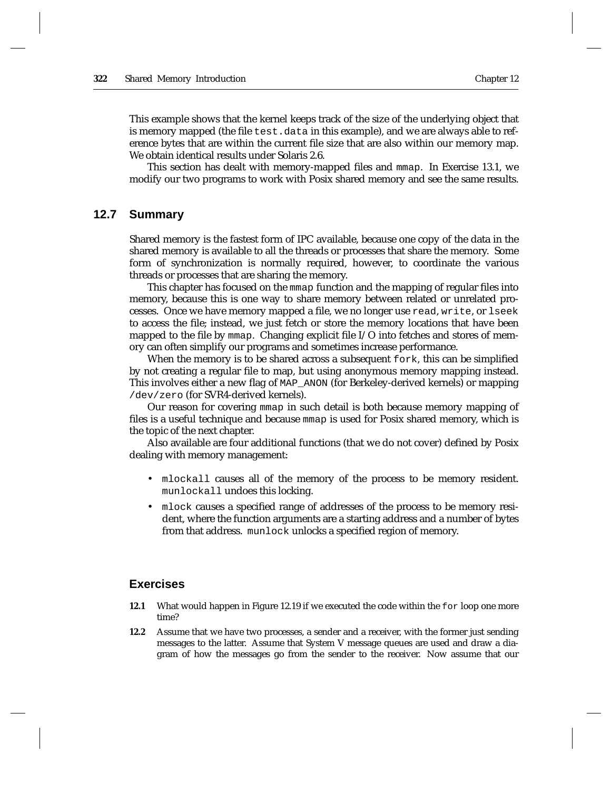This example shows that the kernel keeps track of the size of the underlying object that is memory mapped (the file test.data in this example), and we are always able to reference bytes that are within the current file size that are also within our memory map. We obtain identical results under Solaris 2.6.

This section has dealt with memory-mapped files and mmap. In Exercise 13.1, we modify our two programs to work with Posix shared memory and see the same results.

## **12.7 Summary**

Shared memory is the fastest form of IPC available, because one copy of the data in the shared memory is available to all the threads or processes that share the memory. Some form of synchronization is normally required, however, to coordinate the various threads or processes that are sharing the memory.

This chapter has focused on the mmap function and the mapping of regular files into memory, because this is one way to share memory between related or unrelated processes. Once we have memory mapped a file, we no longer use read, write, or lseek to access the file; instead, we just fetch or store the memory locations that have been mapped to the file by mmap. Changing explicit file I/O into fetches and stores of memory can often simplify our programs and sometimes increase performance.

When the memory is to be shared across a subsequent fork, this can be simplified by not creating a regular file to map, but using anonymous memory mapping instead. This involves either a new flag of MAP\_ANON (for Berkeley-derived kernels) or mapping /dev/zero (for SVR4-derived kernels).

Our reason for covering mmap in such detail is both because memory mapping of files is a useful technique and because mmap is used for Posix shared memory, which is the topic of the next chapter.

Also available are four additional functions (that we do not cover) defined by Posix dealing with memory management:

- mlockall causes all of the memory of the process to be memory resident. munlockall undoes this locking.
- mlock causes a specified range of addresses of the process to be memory resident, where the function arguments are a starting address and a number of bytes from that address. munlock unlocks a specified region of memory.

## **Exercises**

- **12.1** What would happen in Figure 12.19 if we executed the code within the for loop one more time?
- **12.2** Assume that we have two processes, a sender and a receiver, with the former just sending messages to the latter. Assume that System V message queues are used and draw a diagram of how the messages go from the sender to the receiver. Now assume that our